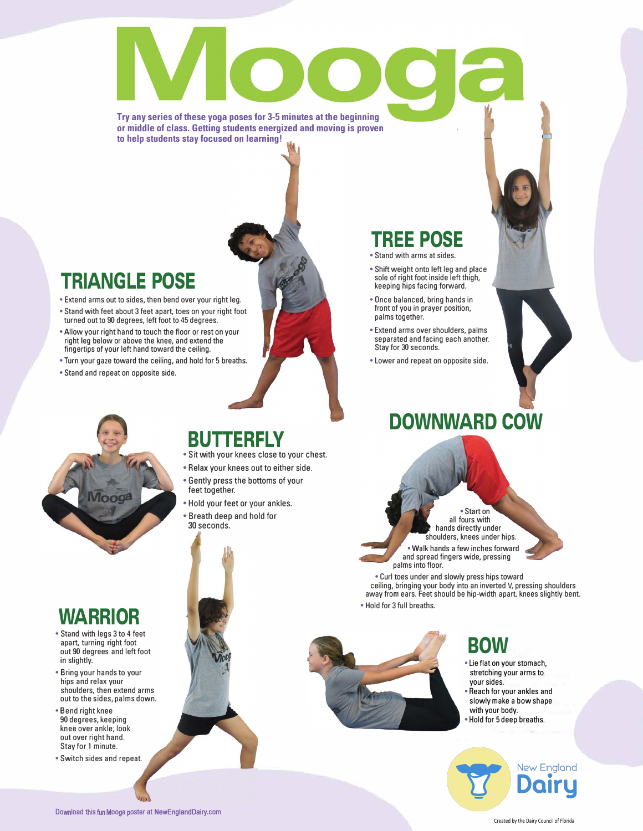#### **Try any series of these yoga poses for 3-5 minutes at the beginning or middle of class. Getting students energized and moving is proven to help students stay focused on learning!**

## **TRIANGLE POSE**

- Extend arms out to sides, then bend over your right leg.
- Stand with feet about 3 feet apart, toes on your right foot turned out to 90 degrees, left foot to 45 degrees.
- Allow your right hand to touch the floor or rest on your right leg below or above the knee, and extend the fingertips of your left hand toward the ceiling.
- Turn your gaze toward the ceiling, and hold for 5 breaths.
- Stand and repeat on opposite side.

#### • Stand with arms at sides. • Shift weight onto left leg and place

**TREE POSE** 

- sole of right foot inside left thigh, keeping hips facing forward.
- Once balanced, bring hands in front of you in prayer position, palms together.
- Extend arms over shoulders, palms separated and facing each another. Stay for 30 seconds.
- Lower and repeat on opposite side.

# **DOWNWARD COW**

• Start on all fours with hands directly under shoulders, knees under hips. • Walk hands a few inches forward and spread fingers wide, pressing

ceiling, bringing your body into an inverted V, pressing shoulders away from ears. Feet should be hip-width apart, knees slightly bent.



#### **BUTTERFLY**

- Sit with your knees close to your chest.
- Relax your knees out to either side.
- Gently press the bottoms of your feet together.
- Hold your feet or your ankles. • Breath deep and hold for 30 seconds.

## **WARRIOR**

- Stand with legs 3 to 4 feet apart, turning right foot out 90 degrees and left foot in slightly.
- Bring your hands to your hips and relax your shoulders, then extend arms out to the sides, palms down.
- Bend right knee 90 degrees, keeping knee over ankle; look out over right hand. Stay for 1 minute.
- Switch sides and repeat.



• Hold for 3 full breaths.

palms into floor.

• Curl toes under and slowly press hips toward

# **BOW**

- Lie flat on your stomach, stretching your arms to your sides. • Reach for your ankles and
- slowly make a bow shape with your body.
- Hold for 5 deep breaths.



Created by the Dairy Council of Florida